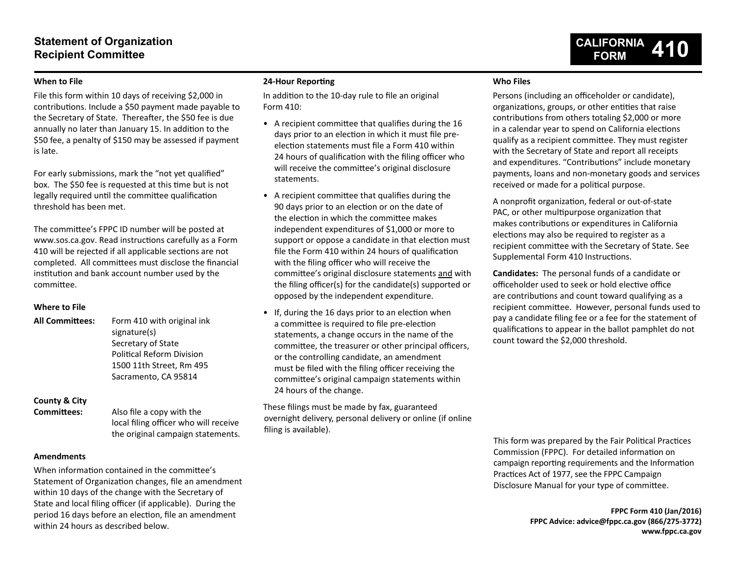## **Statement of Organization Recipient Committee**

# **CALIFORNIA FORM 410**

### **When to File**

File this form within 10 days of receiving \$2,000 in contributions. Include a \$50 payment made payable to the Secretary of State. Thereafter, the \$50 fee is due annually no later than January 15. In addition to the \$50 fee, a penalty of \$150 may be assessed if payment is late.

For early submissions, mark the "not yet qualified" box. The \$50 fee is requested at this time but is not legally required until the committee qualification threshold has been met.

The committee's FPPC ID number will be posted at www.sos.ca.gov. Read instructions carefully as a Form 410 will be rejected if all applicable sections are not completed. All committees must disclose the financial institution and bank account number used by the committee.

### **Where to File**

**All Committees:** Form 410 with original ink signature(s) Secretary of State Political Reform Division 1500 11th Street, Rm 495 Sacramento, CA 95814

# **County & City**

**Committees:** Also file a copy with the local filing officer who will receive the original campaign statements.

### **Amendments**

When information contained in the committee's Statement of Organization changes, file an amendment within 10 days of the change with the Secretary of State and local filing officer (if applicable). During the period 16 days before an election, file an amendment within 24 hours as described below.

### **24-Hour Reporting**

In addition to the 10-day rule to file an original Form 410:

- A recipient committee that qualifies during the 16 days prior to an election in which it must file preelection statements must file a Form 410 within 24 hours of qualification with the filing officer who will receive the committee's original disclosure statements.
- A recipient committee that qualifies during the 90 days prior to an election or on the date of the election in which the committee makes independent expenditures of \$1,000 or more to support or oppose a candidate in that election must file the Form 410 within 24 hours of qualification with the filing officer who will receive the committee's original disclosure statements and with the filing officer(s) for the candidate(s) supported or opposed by the independent expenditure.
- If, during the 16 days prior to an election when a committee is required to file pre-election statements, a change occurs in the name of the committee, the treasurer or other principal officers, or the controlling candidate, an amendment must be filed with the filing officer receiving the committee's original campaign statements within 24 hours of the change.

These filings must be made by fax, guaranteed overnight delivery, personal delivery or online (if online filing is available).

### **Who Files**

Persons (including an officeholder or candidate), organizations, groups, or other entities that raise contributions from others totaling \$2,000 or more in a calendar year to spend on California elections qualify as a recipient committee. They must register with the Secretary of State and report all receipts and expenditures. "Contributions" include monetary payments, loans and non-monetary goods and services received or made for a political purpose.

A nonprofit organization, federal or out-of-state PAC, or other multipurpose organization that makes contributions or expenditures in California elections may also be required to register as a recipient committee with the Secretary of State. See Supplemental Form 410 Instructions.

**Candidates:** The personal funds of a candidate or officeholder used to seek or hold elective office are contributions and count toward qualifying as a recipient committee. However, personal funds used to pay a candidate filing fee or a fee for the statement of qualifications to appear in the ballot pamphlet do not count toward the \$2,000 threshold.

This form was prepared by the Fair Political Practices Commission (FPPC). For detailed information on campaign reporting requirements and the Information Practices Act of 1977, see the FPPC Campaign Disclosure Manual for your type of committee.

> **FPPC Form 410 (Jan/2016) FPPC Advice: advice@fppc.ca.gov (866/275-3772) www.fppc.ca.gov**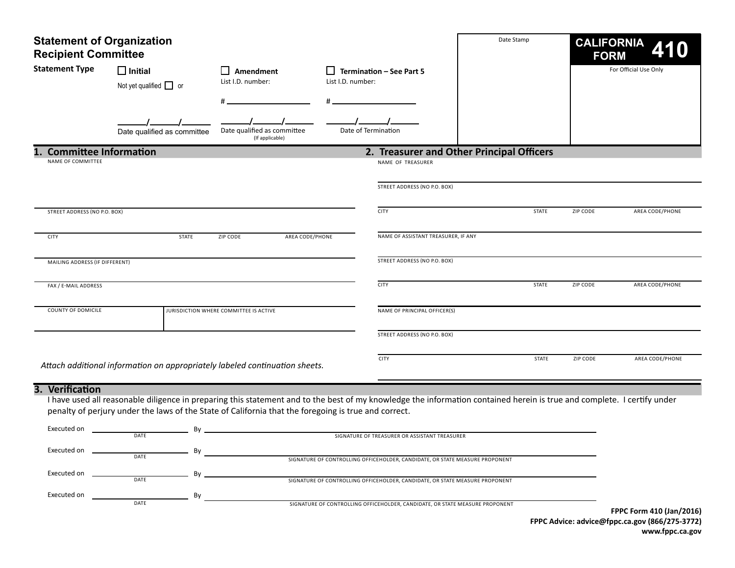| <b>Statement of Organization</b><br><b>Recipient Committee</b> |                                                                                                                                                                                                                                                                                                                                  |                                                |                     |                                                                                                                                                                                                               | Date Stamp                                | <b>CALIFORNIA</b><br><b>FORM</b> |                          |
|----------------------------------------------------------------|----------------------------------------------------------------------------------------------------------------------------------------------------------------------------------------------------------------------------------------------------------------------------------------------------------------------------------|------------------------------------------------|---------------------|---------------------------------------------------------------------------------------------------------------------------------------------------------------------------------------------------------------|-------------------------------------------|----------------------------------|--------------------------|
| <b>Statement Type</b>                                          | $\Box$ Initial<br>Not yet qualified $\Box$ or                                                                                                                                                                                                                                                                                    | Amendment<br>List I.D. number:                 | List I.D. number:   | Termination - See Part 5                                                                                                                                                                                      |                                           |                                  | For Official Use Only    |
|                                                                | Date qualified as committee                                                                                                                                                                                                                                                                                                      | Date qualified as committee<br>(If applicable) | Date of Termination |                                                                                                                                                                                                               |                                           |                                  |                          |
| <b>Committee Information</b>                                   |                                                                                                                                                                                                                                                                                                                                  |                                                |                     |                                                                                                                                                                                                               | 2. Treasurer and Other Principal Officers |                                  |                          |
| NAME OF COMMITTEE                                              |                                                                                                                                                                                                                                                                                                                                  |                                                |                     | NAME OF TREASURER                                                                                                                                                                                             |                                           |                                  |                          |
|                                                                |                                                                                                                                                                                                                                                                                                                                  |                                                |                     | STREET ADDRESS (NO P.O. BOX)                                                                                                                                                                                  |                                           |                                  |                          |
| STREET ADDRESS (NO P.O. BOX)                                   |                                                                                                                                                                                                                                                                                                                                  |                                                |                     | <b>CITY</b>                                                                                                                                                                                                   | <b>STATE</b>                              | ZIP CODE                         | AREA CODE/PHONE          |
| <b>CITY</b>                                                    | <b>STATE</b>                                                                                                                                                                                                                                                                                                                     | AREA CODE/PHONE<br>ZIP CODE                    |                     | NAME OF ASSISTANT TREASURER, IF ANY                                                                                                                                                                           |                                           |                                  |                          |
| MAILING ADDRESS (IF DIFFERENT)                                 |                                                                                                                                                                                                                                                                                                                                  |                                                |                     | STREET ADDRESS (NO P.O. BOX)                                                                                                                                                                                  |                                           |                                  |                          |
| FAX / E-MAIL ADDRESS                                           |                                                                                                                                                                                                                                                                                                                                  |                                                |                     | <b>CITY</b>                                                                                                                                                                                                   | <b>STATE</b>                              | ZIP CODE                         | AREA CODE/PHONE          |
| COUNTY OF DOMICILE                                             |                                                                                                                                                                                                                                                                                                                                  | JURISDICTION WHERE COMMITTEE IS ACTIVE         |                     | NAME OF PRINCIPAL OFFICER(S)                                                                                                                                                                                  |                                           |                                  |                          |
|                                                                |                                                                                                                                                                                                                                                                                                                                  |                                                |                     | STREET ADDRESS (NO P.O. BOX)                                                                                                                                                                                  |                                           |                                  |                          |
|                                                                | Attach additional information on appropriately labeled continuation sheets.                                                                                                                                                                                                                                                      |                                                |                     | <b>CITY</b>                                                                                                                                                                                                   | <b>STATE</b>                              | ZIP CODE                         | AREA CODE/PHONE          |
| 3. Verification<br>Executed on<br>Executed on<br>Executed on   | I have used all reasonable diligence in preparing this statement and to the best of my knowledge the information contained herein is true and complete. I certify under<br>penalty of perjury under the laws of the State of California that the foregoing is true and correct.<br>Bv<br>DATE<br>By<br>DATE<br>Bv<br><b>DATE</b> |                                                |                     | SIGNATURE OF TREASURER OR ASSISTANT TREASURER<br>SIGNATURE OF CONTROLLING OFFICEHOLDER, CANDIDATE, OR STATE MEASURE PROPONENT<br>SIGNATURE OF CONTROLLING OFFICEHOLDER, CANDIDATE, OR STATE MEASURE PROPONENT |                                           |                                  |                          |
| Executed on                                                    | By<br>DATE                                                                                                                                                                                                                                                                                                                       |                                                |                     | SIGNATURE OF CONTROLLING OFFICEHOLDER, CANDIDATE, OR STATE MEASURE PROPONENT                                                                                                                                  |                                           |                                  | FPPC Form 410 (Jan/2016) |

**FPPC Advice: advice@fppc.ca.gov (866/275-3772) www.fppc.ca.gov**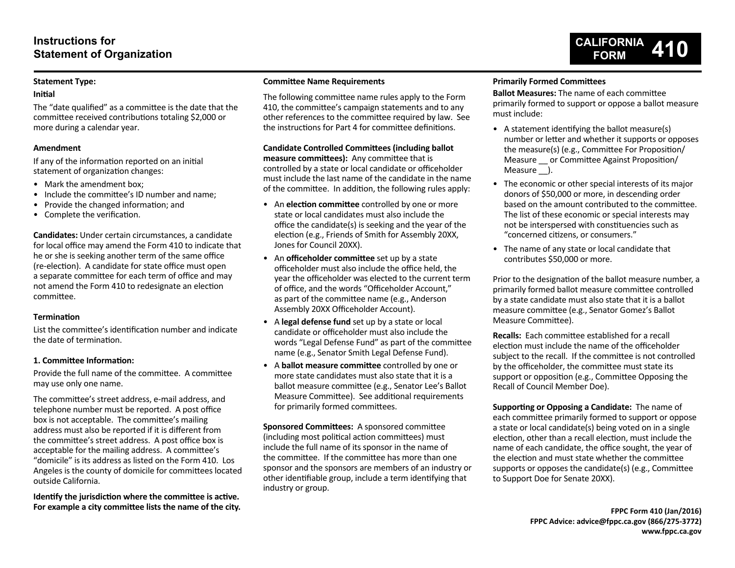### **Statement Type:**

### **Initial**

The "date qualified" as a committee is the date that the committee received contributions totaling \$2,000 or more during a calendar year.

### **Amendment**

If any of the information reported on an initial statement of organization changes:

- Mark the amendment box:
- Include the committee's ID number and name:
- Provide the changed information; and
- Complete the verification.

**Candidates:** Under certain circumstances, a candidate for local office may amend the Form 410 to indicate that he or she is seeking another term of the same office (re-election). A candidate for state office must open a separate committee for each term of office and may not amend the Form 410 to redesignate an election committee.

### **Termination**

List the committee's identification number and indicate the date of termination.

### **1. Committee Information:**

Provide the full name of the committee. A committee may use only one name.

The committee's street address, e-mail address, and telephone number must be reported. A post office box is not acceptable. The committee's mailing address must also be reported if it is different from the committee's street address. A post office box is acceptable for the mailing address. A committee's "domicile" is its address as listed on the Form 410. Los Angeles is the county of domicile for committees located outside California.

**Identify the jurisdiction where the committee is active. For example a city committee lists the name of the city.**

### **Committee Name Requirements**

The following committee name rules apply to the Form 410, the committee's campaign statements and to any other references to the committee required by law. See the instructions for Part 4 for committee definitions.

**Candidate Controlled Committees (including ballot measure committees):** Any committee that is controlled by a state or local candidate or officeholder must include the last name of the candidate in the name of the committee. In addition, the following rules apply:

- An **election committee** controlled by one or more state or local candidates must also include the office the candidate(s) is seeking and the year of the election (e.g., Friends of Smith for Assembly 20XX, Jones for Council 20XX).
- An **officeholder committee** set up by a state officeholder must also include the office held, the year the officeholder was elected to the current term of office, and the words "Officeholder Account," as part of the committee name (e.g., Anderson Assembly 20XX Officeholder Account).
- A **legal defense fund** set up by a state or local candidate or officeholder must also include the words "Legal Defense Fund" as part of the committee name (e.g., Senator Smith Legal Defense Fund).
- A **ballot measure committee** controlled by one or more state candidates must also state that it is a ballot measure committee (e.g., Senator Lee's Ballot Measure Committee). See additional requirements for primarily formed committees.

**Sponsored Committees:** A sponsored committee (including most political action committees) must include the full name of its sponsor in the name of the committee. If the committee has more than one sponsor and the sponsors are members of an industry or other identifiable group, include a term identifying that industry or group.

### **Primarily Formed Committees**

**Ballot Measures:** The name of each committee primarily formed to support or oppose a ballot measure must include:

- A statement identifying the ballot measure(s) number or letter and whether it supports or opposes the measure(s) (e.g., Committee For Proposition/ Measure or Committee Against Proposition/ Measure ).
- The economic or other special interests of its major donors of \$50,000 or more, in descending order based on the amount contributed to the committee. The list of these economic or special interests may not be interspersed with constituencies such as "concerned citizens, or consumers."
- The name of any state or local candidate that contributes \$50,000 or more.

Prior to the designation of the ballot measure number, a primarily formed ballot measure committee controlled by a state candidate must also state that it is a ballot measure committee (e.g., Senator Gomez's Ballot Measure Committee).

**Recalls:** Each committee established for a recall election must include the name of the officeholder subject to the recall. If the committee is not controlled by the officeholder, the committee must state its support or opposition (e.g., Committee Opposing the Recall of Council Member Doe).

**Supporting or Opposing a Candidate:** The name of each committee primarily formed to support or oppose a state or local candidate(s) being voted on in a single election, other than a recall election, must include the name of each candidate, the office sought, the year of the election and must state whether the committee supports or opposes the candidate(s) (e.g., Committee to Support Doe for Senate 20XX).

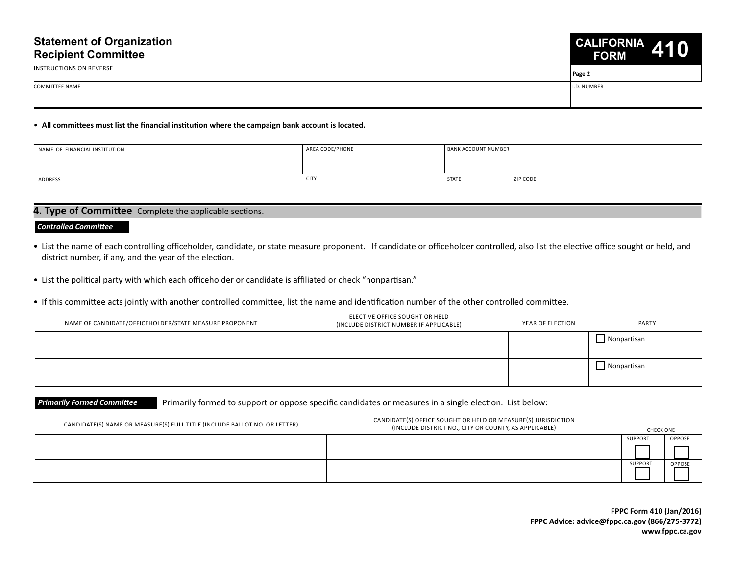

**Page 2**

COMMITTEE NAME I.D. NUMBER

• **All committees must list the financial institution where the campaign bank account is located.**

| NAME OF FINANCIAL INSTITUTION | AREA CODE/PHONE | <b>BANK ACCOUNT NUMBER</b> |
|-------------------------------|-----------------|----------------------------|
|                               |                 |                            |
| ADDRESS                       | <b>CITY</b>     | <b>STATE</b><br>ZIP CODE   |

### **4. Type of Committee** Complete the applicable sections.

#### *Controlled Committee*

INSTRUCTIONS ON REVERSE

- List the name of each controlling officeholder, candidate, or state measure proponent. If candidate or officeholder controlled, also list the elective office sought or held, and district number, if any, and the year of the election.
- List the political party with which each officeholder or candidate is affiliated or check "nonpartisan."
- If this committee acts jointly with another controlled committee, list the name and identification number of the other controlled committee.

| NAME OF CANDIDATE/OFFICEHOLDER/STATE MEASURE PROPONENT | ELECTIVE OFFICE SOUGHT OR HELD<br>(INCLUDE DISTRICT NUMBER IF APPLICABLE) | YEAR OF ELECTION | PARTY              |
|--------------------------------------------------------|---------------------------------------------------------------------------|------------------|--------------------|
|                                                        |                                                                           |                  | $\Box$ Nonpartisan |
|                                                        |                                                                           |                  | $\Box$ Nonpartisan |

**Primarily Formed Committee** Primarily formed to support or oppose specific candidates or measures in a single election. List below:

| CANDIDATE(S) NAME OR MEASURE(S) FULL TITLE (INCLUDE BALLOT NO. OR LETTER) | CANDIDATE(S) OFFICE SOUGHT OR HELD OR MEASURE(S) JURISDICTION<br>(INCLUDE DISTRICT NO., CITY OR COUNTY, AS APPLICABLE) | <b>CHECK ONE</b> |               |
|---------------------------------------------------------------------------|------------------------------------------------------------------------------------------------------------------------|------------------|---------------|
|                                                                           |                                                                                                                        | SUPPORT          | <b>OPPOSE</b> |
|                                                                           |                                                                                                                        |                  |               |
|                                                                           |                                                                                                                        | SUPPORT          | <b>OPPOSE</b> |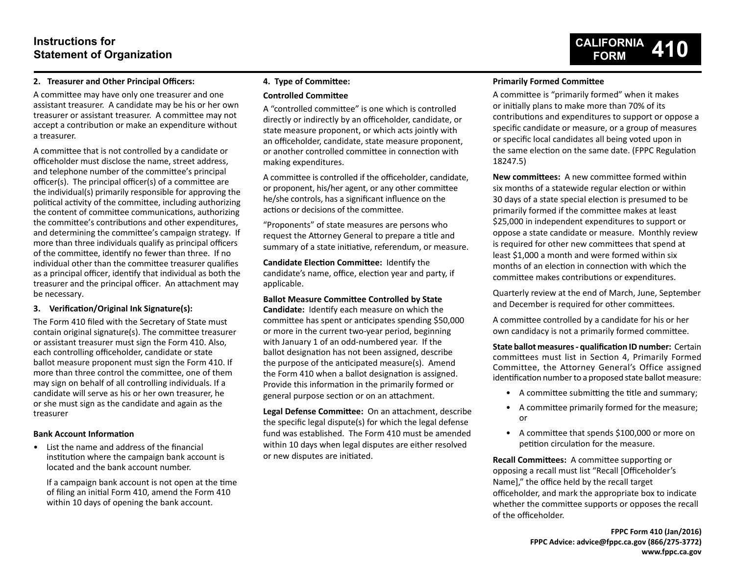# **Instructions for Statement of Organization**

### **2. Treasurer and Other Principal Officers:**

A committee may have only one treasurer and one assistant treasurer. A candidate may be his or her own treasurer or assistant treasurer. A committee may not accept a contribution or make an expenditure without a treasurer.

A committee that is not controlled by a candidate or officeholder must disclose the name, street address, and telephone number of the committee's principal officer(s). The principal officer(s) of a committee are the individual(s) primarily responsible for approving the political activity of the committee, including authorizing the content of committee communications, authorizing the committee's contributions and other expenditures, and determining the committee's campaign strategy. If more than three individuals qualify as principal officers of the committee, identify no fewer than three. If no individual other than the committee treasurer qualifies as a principal officer, identify that individual as both the treasurer and the principal officer. An attachment may be necessary.

### **3. Verification/Original Ink Signature(s):**

The Form 410 filed with the Secretary of State must contain original signature(s). The committee treasurer or assistant treasurer must sign the Form 410. Also, each controlling officeholder, candidate or state ballot measure proponent must sign the Form 410. If more than three control the committee, one of them may sign on behalf of all controlling individuals. If a candidate will serve as his or her own treasurer, he or she must sign as the candidate and again as the treasurer

### **Bank Account Information**

• List the name and address of the financial institution where the campaign bank account is located and the bank account number.

If a campaign bank account is not open at the time of filing an initial Form 410, amend the Form 410 within 10 days of opening the bank account.

### **4. Type of Committee:**

### **Controlled Committee**

A "controlled committee" is one which is controlled directly or indirectly by an officeholder, candidate, or state measure proponent, or which acts jointly with an officeholder, candidate, state measure proponent, or another controlled committee in connection with making expenditures.

A committee is controlled if the officeholder, candidate, or proponent, his/her agent, or any other committee he/she controls, has a significant influence on the actions or decisions of the committee.

"Proponents" of state measures are persons who request the Attorney General to prepare a title and summary of a state initiative, referendum, or measure.

**Candidate Election Committee:** Identify the candidate's name, office, election year and party, if applicable.

#### **Ballot Measure Committee Controlled by State**

**Candidate:** Identify each measure on which the committee has spent or anticipates spending \$50,000 or more in the current two-year period, beginning with January 1 of an odd-numbered year. If the ballot designation has not been assigned, describe the purpose of the anticipated measure(s). Amend the Form 410 when a ballot designation is assigned. Provide this information in the primarily formed or general purpose section or on an attachment.

**Legal Defense Committee:** On an attachment, describe the specific legal dispute(s) for which the legal defense fund was established. The Form 410 must be amended within 10 days when legal disputes are either resolved or new disputes are initiated.

### **Primarily Formed Committee**

A committee is "primarily formed" when it makes or initially plans to make more than 70% of its contributions and expenditures to support or oppose a specific candidate or measure, or a group of measures or specific local candidates all being voted upon in the same election on the same date. (FPPC Regulation 18247.5)

**New committees:** A new committee formed within six months of a statewide regular election or within 30 days of a state special election is presumed to be primarily formed if the committee makes at least \$25,000 in independent expenditures to support or oppose a state candidate or measure. Monthly review is required for other new committees that spend at least \$1,000 a month and were formed within six months of an election in connection with which the committee makes contributions or expenditures.

Quarterly review at the end of March, June, September and December is required for other committees.

A committee controlled by a candidate for his or her own candidacy is not a primarily formed committee.

**State ballot measures - qualification ID number:** Certain committees must list in Section 4, Primarily Formed Committee, the Attorney General's Office assigned identification number to a proposed state ballot measure:

- A committee submitting the title and summary;
- A committee primarily formed for the measure; or
- A committee that spends \$100,000 or more on petition circulation for the measure.

**Recall Committees:** A committee supporting or opposing a recall must list "Recall [Officeholder's Name]," the office held by the recall target officeholder, and mark the appropriate box to indicate whether the committee supports or opposes the recall of the officeholder.

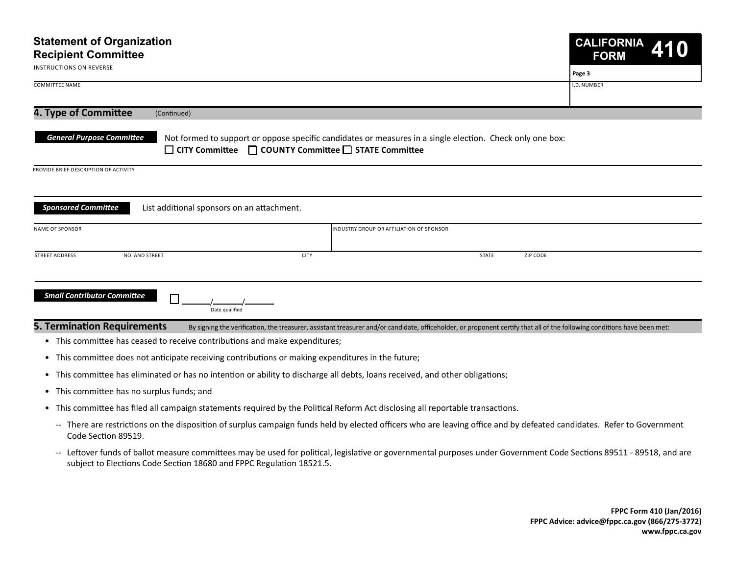| <b>Statement of Organization</b><br><b>Recipient Committee</b><br><b>INSTRUCTIONS ON REVERSE</b> |                                                                                                                                                                          |       | <b>CALIFORNIA</b><br>410<br><b>FORM</b> |
|--------------------------------------------------------------------------------------------------|--------------------------------------------------------------------------------------------------------------------------------------------------------------------------|-------|-----------------------------------------|
|                                                                                                  |                                                                                                                                                                          |       | Page 3                                  |
| <b>COMMITTEE NAME</b>                                                                            |                                                                                                                                                                          |       | I.D. NUMBER                             |
| 4. Type of Committee<br>(Continued)                                                              |                                                                                                                                                                          |       |                                         |
| <b>General Purpose Committee</b>                                                                 | Not formed to support or oppose specific candidates or measures in a single election. Check only one box:<br>□ CITY Committee □ COUNTY Committee □ STATE Committee       |       |                                         |
| PROVIDE BRIEF DESCRIPTION OF ACTIVITY                                                            |                                                                                                                                                                          |       |                                         |
| <b>Sponsored Committee</b><br>List additional sponsors on an attachment.                         |                                                                                                                                                                          |       |                                         |
| NAME OF SPONSOR                                                                                  | INDUSTRY GROUP OR AFFILIATION OF SPONSOR                                                                                                                                 |       |                                         |
| <b>STREET ADDRESS</b><br>NO. AND STREET                                                          | <b>CITY</b>                                                                                                                                                              | STATE | ZIP CODE                                |
| <b>Small Contributor Committee</b><br>Date qualified                                             |                                                                                                                                                                          |       |                                         |
| <b>5. Termination Requirements</b>                                                               | By signing the verification, the treasurer, assistant treasurer and/or candidate, officeholder, or proponent certify that all of the following conditions have been met: |       |                                         |
| • This committee has ceased to receive contributions and make expenditures;                      |                                                                                                                                                                          |       |                                         |

- This committee does not anticipate receiving contributions or making expenditures in the future;
- This committee has eliminated or has no intention or ability to discharge all debts, loans received, and other obligations;
- This committee has no surplus funds; and
- This committee has filed all campaign statements required by the Political Reform Act disclosing all reportable transactions.
	- -- There are restrictions on the disposition of surplus campaign funds held by elected officers who are leaving office and by defeated candidates. Refer to Government Code Section 89519.
	- -- Leftover funds of ballot measure committees may be used for political, legislative or governmental purposes under Government Code Sections 89511 89518, and are subject to Elections Code Section 18680 and FPPC Regulation 18521.5.